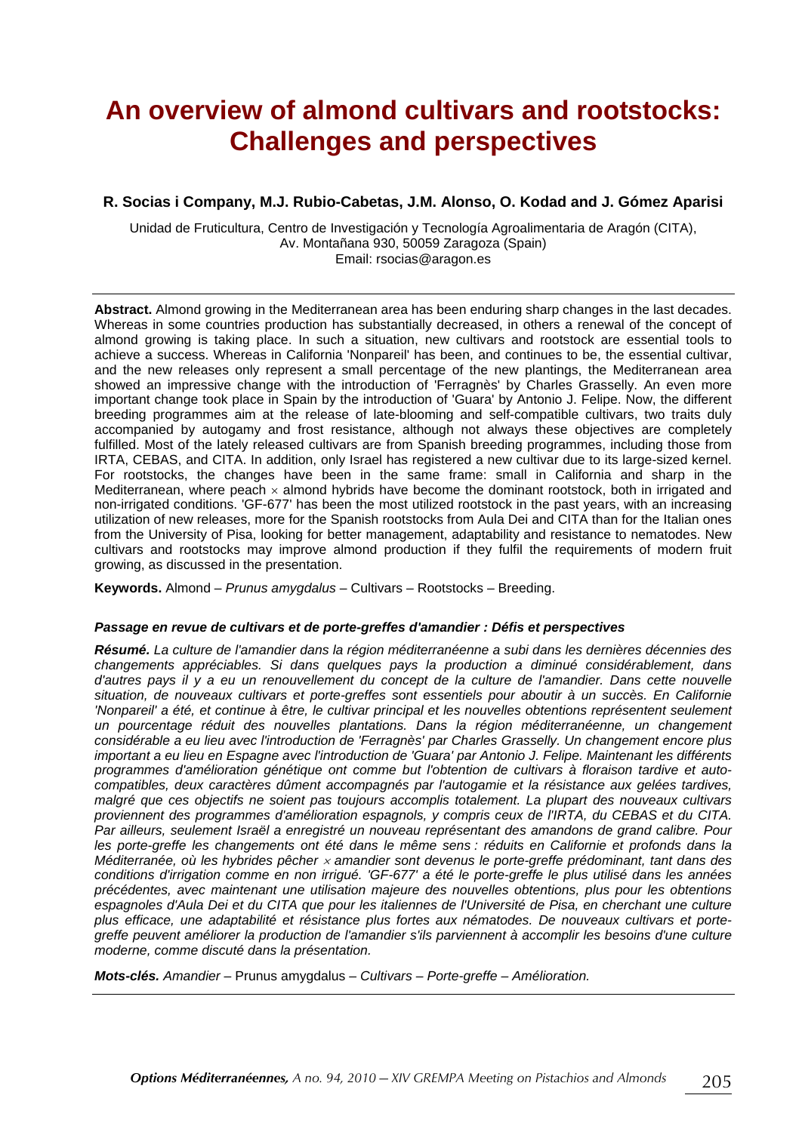# **An overview of almond cultivars and rootstocks: Challenges and perspectives**

#### **R. Socias i Company, M.J. Rubio-Cabetas, J.M. Alonso, O. Kodad and J. Gómez Aparisi**

Unidad de Fruticultura, Centro de Investigación y Tecnología Agroalimentaria de Aragón (CITA), Av. Montañana 930, 50059 Zaragoza (Spain) Email: rsocias@aragon.es

**Abstract.** Almond growing in the Mediterranean area has been enduring sharp changes in the last decades. Whereas in some countries production has substantially decreased, in others a renewal of the concept of almond growing is taking place. In such a situation, new cultivars and rootstock are essential tools to achieve a success. Whereas in California 'Nonpareil' has been, and continues to be, the essential cultivar, and the new releases only represent a small percentage of the new plantings, the Mediterranean area showed an impressive change with the introduction of 'Ferragnès' by Charles Grasselly. An even more important change took place in Spain by the introduction of 'Guara' by Antonio J. Felipe. Now, the different breeding programmes aim at the release of late-blooming and self-compatible cultivars, two traits duly accompanied by autogamy and frost resistance, although not always these objectives are completely fulfilled. Most of the lately released cultivars are from Spanish breeding programmes, including those from IRTA, CEBAS, and CITA. In addition, only Israel has registered a new cultivar due to its large-sized kernel. For rootstocks, the changes have been in the same frame: small in California and sharp in the Mediterranean, where peach  $\times$  almond hybrids have become the dominant rootstock, both in irrigated and non-irrigated conditions. 'GF-677' has been the most utilized rootstock in the past years, with an increasing utilization of new releases, more for the Spanish rootstocks from Aula Dei and CITA than for the Italian ones from the University of Pisa, looking for better management, adaptability and resistance to nematodes. New cultivars and rootstocks may improve almond production if they fulfil the requirements of modern fruit growing, as discussed in the presentation.

**Keywords.** Almond – *Prunus amygdalus* – Cultivars – Rootstocks – Breeding.

#### *Passage en revue de cultivars et de porte-greffes d'amandier : Défis et perspectives*

*Résumé. La culture de l'amandier dans la région méditerranéenne a subi dans les dernières décennies des changements appréciables. Si dans quelques pays la production a diminué considérablement, dans d'autres pays il y a eu un renouvellement du concept de la culture de l'amandier. Dans cette nouvelle situation, de nouveaux cultivars et porte-greffes sont essentiels pour aboutir à un succès. En Californie*  'Nonpareil' a été, et continue à être, le cultivar principal et les nouvelles obtentions représentent seulement *un pourcentage réduit des nouvelles plantations. Dans la région méditerranéenne, un changement considérable a eu lieu avec l'introduction de 'Ferragnès' par Charles Grasselly. Un changement encore plus important a eu lieu en Espagne avec l'introduction de 'Guara' par Antonio J. Felipe. Maintenant les différents programmes d'amélioration génétique ont comme but l'obtention de cultivars à floraison tardive et autocompatibles, deux caractères dûment accompagnés par l'autogamie et la résistance aux gelées tardives, malgré que ces objectifs ne soient pas toujours accomplis totalement. La plupart des nouveaux cultivars proviennent des programmes d'amélioration espagnols, y compris ceux de l'IRTA, du CEBAS et du CITA. Par ailleurs, seulement Israël a enregistré un nouveau représentant des amandons de grand calibre. Pour les porte-greffe les changements ont été dans le même sens : réduits en Californie et profonds dans la Méditerranée, où les hybrides pêcher* × *amandier sont devenus le porte-greffe prédominant, tant dans des conditions d'irrigation comme en non irrigué. 'GF-677' a été le porte-greffe le plus utilisé dans les années précédentes, avec maintenant une utilisation majeure des nouvelles obtentions, plus pour les obtentions espagnoles d'Aula Dei et du CITA que pour les italiennes de l'Université de Pisa, en cherchant une culture plus efficace, une adaptabilité et résistance plus fortes aux nématodes. De nouveaux cultivars et portegreffe peuvent améliorer la production de l'amandier s'ils parviennent à accomplir les besoins d'une culture moderne, comme discuté dans la présentation.* 

*Mots-clés. Amandier –* Prunus amygdalus – *Cultivars – Porte-greffe – Amélioration.*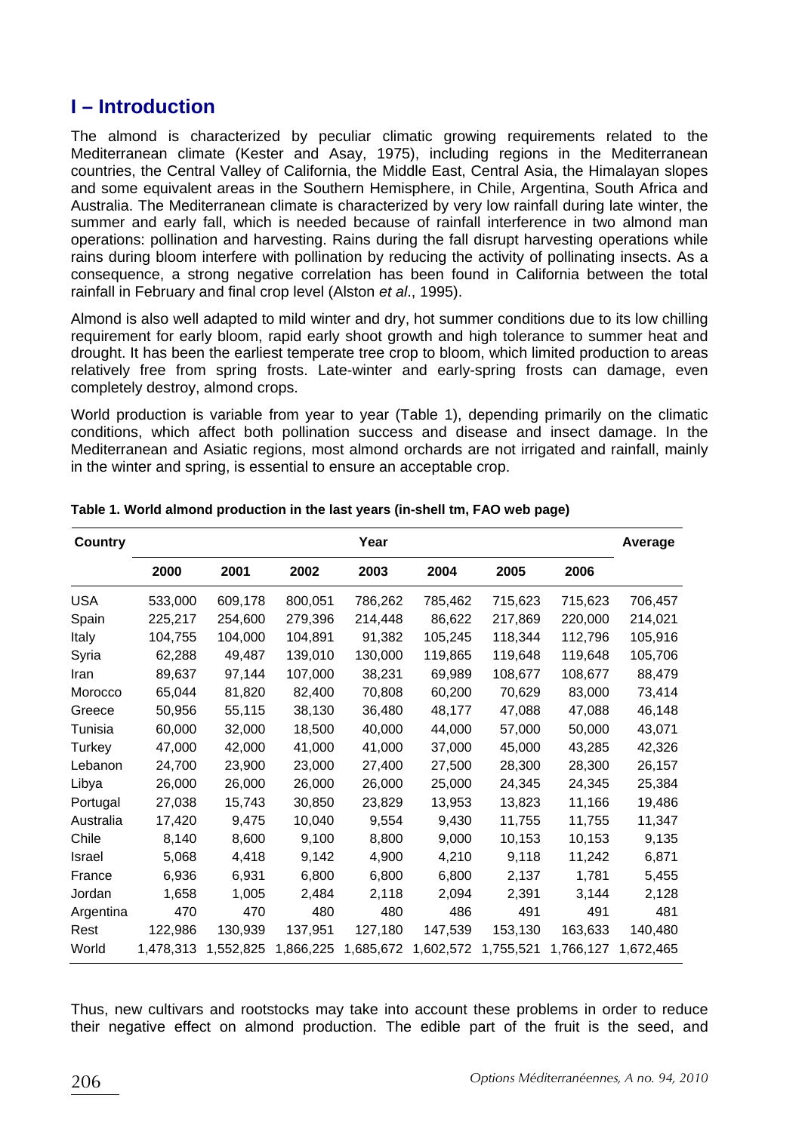# **I – Introduction**

The almond is characterized by peculiar climatic growing requirements related to the Mediterranean climate (Kester and Asay, 1975), including regions in the Mediterranean countries, the Central Valley of California, the Middle East, Central Asia, the Himalayan slopes and some equivalent areas in the Southern Hemisphere, in Chile, Argentina, South Africa and Australia. The Mediterranean climate is characterized by very low rainfall during late winter, the summer and early fall, which is needed because of rainfall interference in two almond man operations: pollination and harvesting. Rains during the fall disrupt harvesting operations while rains during bloom interfere with pollination by reducing the activity of pollinating insects. As a consequence, a strong negative correlation has been found in California between the total rainfall in February and final crop level (Alston *et al*., 1995).

Almond is also well adapted to mild winter and dry, hot summer conditions due to its low chilling requirement for early bloom, rapid early shoot growth and high tolerance to summer heat and drought. It has been the earliest temperate tree crop to bloom, which limited production to areas relatively free from spring frosts. Late-winter and early-spring frosts can damage, even completely destroy, almond crops.

World production is variable from year to year (Table 1), depending primarily on the climatic conditions, which affect both pollination success and disease and insect damage. In the Mediterranean and Asiatic regions, most almond orchards are not irrigated and rainfall, mainly in the winter and spring, is essential to ensure an acceptable crop.

| Country    |           |           |           | Year      |           |           |           | Average   |
|------------|-----------|-----------|-----------|-----------|-----------|-----------|-----------|-----------|
|            | 2000      | 2001      | 2002      | 2003      | 2004      | 2005      | 2006      |           |
| <b>USA</b> | 533,000   | 609,178   | 800,051   | 786,262   | 785,462   | 715,623   | 715,623   | 706,457   |
| Spain      | 225,217   | 254,600   | 279,396   | 214,448   | 86,622    | 217,869   | 220,000   | 214,021   |
| Italy      | 104,755   | 104,000   | 104,891   | 91,382    | 105,245   | 118,344   | 112,796   | 105,916   |
| Syria      | 62,288    | 49,487    | 139,010   | 130,000   | 119,865   | 119.648   | 119,648   | 105,706   |
| Iran       | 89,637    | 97,144    | 107,000   | 38,231    | 69,989    | 108,677   | 108,677   | 88,479    |
| Morocco    | 65,044    | 81,820    | 82,400    | 70,808    | 60,200    | 70,629    | 83,000    | 73,414    |
| Greece     | 50,956    | 55,115    | 38,130    | 36,480    | 48,177    | 47,088    | 47,088    | 46,148    |
| Tunisia    | 60,000    | 32,000    | 18.500    | 40,000    | 44,000    | 57,000    | 50,000    | 43,071    |
| Turkey     | 47,000    | 42,000    | 41,000    | 41,000    | 37,000    | 45,000    | 43,285    | 42,326    |
| Lebanon    | 24,700    | 23,900    | 23,000    | 27,400    | 27,500    | 28,300    | 28,300    | 26,157    |
| Libya      | 26,000    | 26,000    | 26,000    | 26,000    | 25,000    | 24,345    | 24,345    | 25,384    |
| Portugal   | 27,038    | 15,743    | 30,850    | 23,829    | 13,953    | 13,823    | 11,166    | 19,486    |
| Australia  | 17,420    | 9,475     | 10,040    | 9,554     | 9,430     | 11,755    | 11,755    | 11,347    |
| Chile      | 8,140     | 8,600     | 9,100     | 8,800     | 9,000     | 10,153    | 10,153    | 9,135     |
| Israel     | 5,068     | 4,418     | 9,142     | 4,900     | 4,210     | 9,118     | 11,242    | 6,871     |
| France     | 6,936     | 6,931     | 6,800     | 6,800     | 6,800     | 2,137     | 1,781     | 5,455     |
| Jordan     | 1,658     | 1,005     | 2,484     | 2,118     | 2,094     | 2,391     | 3,144     | 2,128     |
| Argentina  | 470       | 470       | 480       | 480       | 486       | 491       | 491       | 481       |
| Rest       | 122,986   | 130,939   | 137,951   | 127,180   | 147,539   | 153,130   | 163,633   | 140,480   |
| World      | 1,478,313 | 1,552,825 | 1,866,225 | 1,685,672 | 1,602,572 | 1,755,521 | 1,766,127 | 1,672,465 |

**Table 1. World almond production in the last years (in-shell tm, FAO web page)** 

Thus, new cultivars and rootstocks may take into account these problems in order to reduce their negative effect on almond production. The edible part of the fruit is the seed, and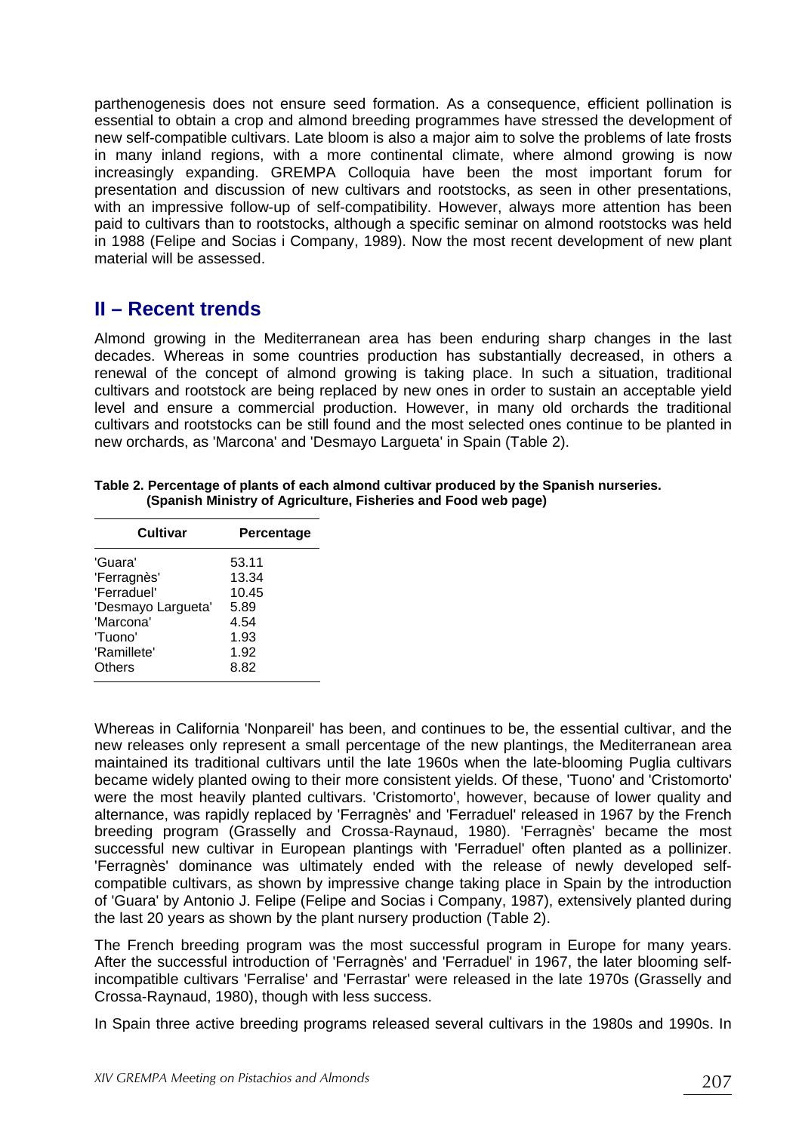parthenogenesis does not ensure seed formation. As a consequence, efficient pollination is essential to obtain a crop and almond breeding programmes have stressed the development of new self-compatible cultivars. Late bloom is also a major aim to solve the problems of late frosts in many inland regions, with a more continental climate, where almond growing is now increasingly expanding. GREMPA Colloquia have been the most important forum for presentation and discussion of new cultivars and rootstocks, as seen in other presentations, with an impressive follow-up of self-compatibility. However, always more attention has been paid to cultivars than to rootstocks, although a specific seminar on almond rootstocks was held in 1988 (Felipe and Socias i Company, 1989). Now the most recent development of new plant material will be assessed.

# **II – Recent trends**

Almond growing in the Mediterranean area has been enduring sharp changes in the last decades. Whereas in some countries production has substantially decreased, in others a renewal of the concept of almond growing is taking place. In such a situation, traditional cultivars and rootstock are being replaced by new ones in order to sustain an acceptable yield level and ensure a commercial production. However, in many old orchards the traditional cultivars and rootstocks can be still found and the most selected ones continue to be planted in new orchards, as 'Marcona' and 'Desmayo Largueta' in Spain (Table 2).

| Table 2. Percentage of plants of each almond cultivar produced by the Spanish nurseries. |
|------------------------------------------------------------------------------------------|
| (Spanish Ministry of Agriculture, Fisheries and Food web page)                           |

| Percentage |
|------------|
| 53.11      |
| 13.34      |
| 10.45      |
| 5.89       |
| 4.54       |
| 1.93       |
| 1.92       |
| 8.82       |
|            |

Whereas in California 'Nonpareil' has been, and continues to be, the essential cultivar, and the new releases only represent a small percentage of the new plantings, the Mediterranean area maintained its traditional cultivars until the late 1960s when the late-blooming Puglia cultivars became widely planted owing to their more consistent yields. Of these, 'Tuono' and 'Cristomorto' were the most heavily planted cultivars. 'Cristomorto', however, because of lower quality and alternance, was rapidly replaced by 'Ferragnès' and 'Ferraduel' released in 1967 by the French breeding program (Grasselly and Crossa-Raynaud, 1980). 'Ferragnès' became the most successful new cultivar in European plantings with 'Ferraduel' often planted as a pollinizer. 'Ferragnès' dominance was ultimately ended with the release of newly developed selfcompatible cultivars, as shown by impressive change taking place in Spain by the introduction of 'Guara' by Antonio J. Felipe (Felipe and Socias i Company, 1987), extensively planted during the last 20 years as shown by the plant nursery production (Table 2).

The French breeding program was the most successful program in Europe for many years. After the successful introduction of 'Ferragnès' and 'Ferraduel' in 1967, the later blooming selfincompatible cultivars 'Ferralise' and 'Ferrastar' were released in the late 1970s (Grasselly and Crossa-Raynaud, 1980), though with less success.

In Spain three active breeding programs released several cultivars in the 1980s and 1990s. In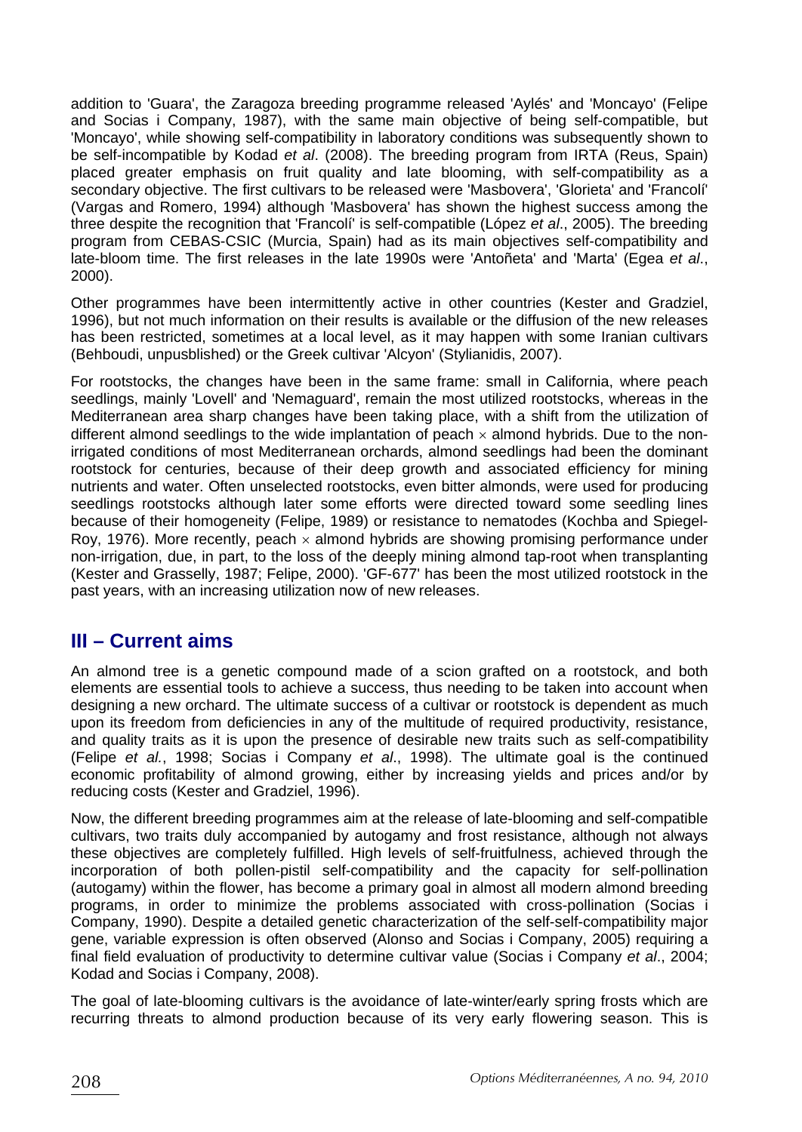addition to 'Guara', the Zaragoza breeding programme released 'Aylés' and 'Moncayo' (Felipe and Socias i Company, 1987), with the same main objective of being self-compatible, but 'Moncayo', while showing self-compatibility in laboratory conditions was subsequently shown to be self-incompatible by Kodad *et al*. (2008). The breeding program from IRTA (Reus, Spain) placed greater emphasis on fruit quality and late blooming, with self-compatibility as a secondary objective. The first cultivars to be released were 'Masbovera', 'Glorieta' and 'Francolí' (Vargas and Romero, 1994) although 'Masbovera' has shown the highest success among the three despite the recognition that 'Francolí' is self-compatible (López *et al*., 2005). The breeding program from CEBAS-CSIC (Murcia, Spain) had as its main objectives self-compatibility and late-bloom time. The first releases in the late 1990s were 'Antoñeta' and 'Marta' (Egea *et al*., 2000).

Other programmes have been intermittently active in other countries (Kester and Gradziel, 1996), but not much information on their results is available or the diffusion of the new releases has been restricted, sometimes at a local level, as it may happen with some Iranian cultivars (Behboudi, unpusblished) or the Greek cultivar 'Alcyon' (Stylianidis, 2007).

For rootstocks, the changes have been in the same frame: small in California, where peach seedlings, mainly 'Lovell' and 'Nemaguard', remain the most utilized rootstocks, whereas in the Mediterranean area sharp changes have been taking place, with a shift from the utilization of different almond seedlings to the wide implantation of peach  $\times$  almond hybrids. Due to the nonirrigated conditions of most Mediterranean orchards, almond seedlings had been the dominant rootstock for centuries, because of their deep growth and associated efficiency for mining nutrients and water. Often unselected rootstocks, even bitter almonds, were used for producing seedlings rootstocks although later some efforts were directed toward some seedling lines because of their homogeneity (Felipe, 1989) or resistance to nematodes (Kochba and Spiegel-Roy, 1976). More recently, peach  $\times$  almond hybrids are showing promising performance under non-irrigation, due, in part, to the loss of the deeply mining almond tap-root when transplanting (Kester and Grasselly, 1987; Felipe, 2000). 'GF-677' has been the most utilized rootstock in the past years, with an increasing utilization now of new releases.

# **III – Current aims**

An almond tree is a genetic compound made of a scion grafted on a rootstock, and both elements are essential tools to achieve a success, thus needing to be taken into account when designing a new orchard. The ultimate success of a cultivar or rootstock is dependent as much upon its freedom from deficiencies in any of the multitude of required productivity, resistance, and quality traits as it is upon the presence of desirable new traits such as self-compatibility (Felipe *et al.*, 1998; Socias i Company *et al*., 1998). The ultimate goal is the continued economic profitability of almond growing, either by increasing yields and prices and/or by reducing costs (Kester and Gradziel, 1996).

Now, the different breeding programmes aim at the release of late-blooming and self-compatible cultivars, two traits duly accompanied by autogamy and frost resistance, although not always these objectives are completely fulfilled. High levels of self-fruitfulness, achieved through the incorporation of both pollen-pistil self-compatibility and the capacity for self-pollination (autogamy) within the flower, has become a primary goal in almost all modern almond breeding programs, in order to minimize the problems associated with cross-pollination (Socias i Company, 1990). Despite a detailed genetic characterization of the self-self-compatibility major gene, variable expression is often observed (Alonso and Socias i Company, 2005) requiring a final field evaluation of productivity to determine cultivar value (Socias i Company *et al*., 2004; Kodad and Socias i Company, 2008).

The goal of late-blooming cultivars is the avoidance of late-winter/early spring frosts which are recurring threats to almond production because of its very early flowering season. This is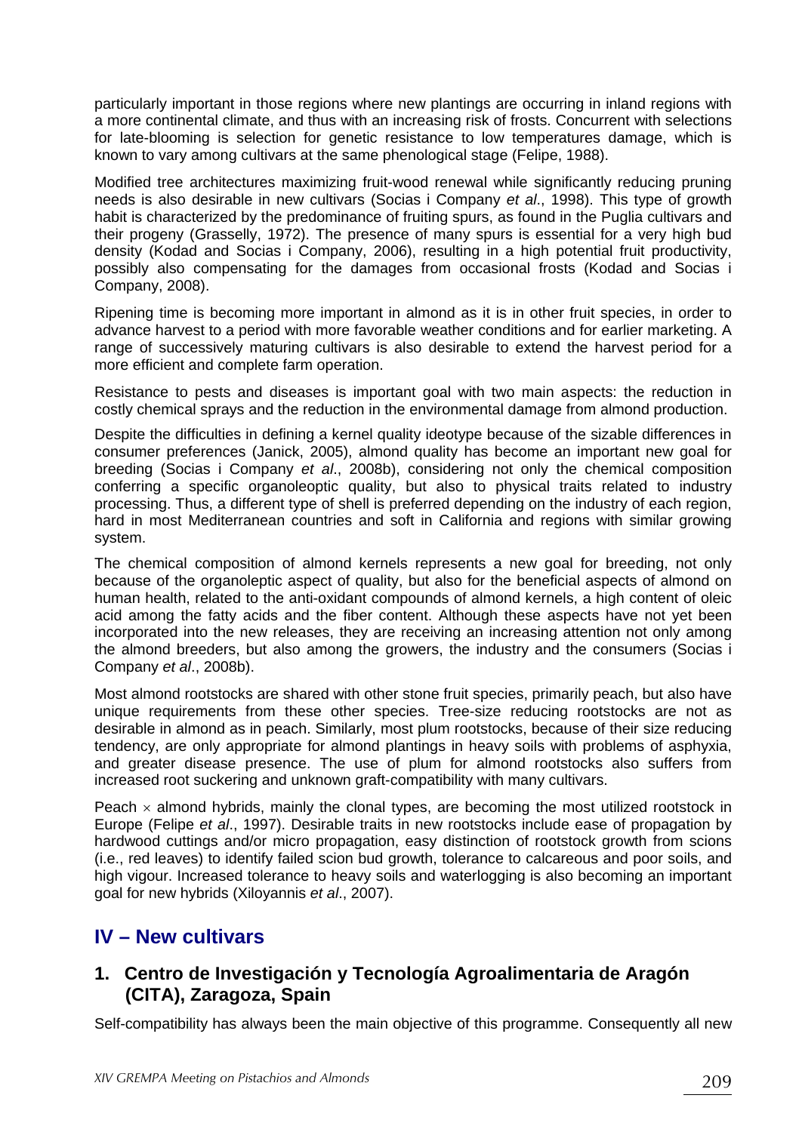particularly important in those regions where new plantings are occurring in inland regions with a more continental climate, and thus with an increasing risk of frosts. Concurrent with selections for late-blooming is selection for genetic resistance to low temperatures damage, which is known to vary among cultivars at the same phenological stage (Felipe, 1988).

Modified tree architectures maximizing fruit-wood renewal while significantly reducing pruning needs is also desirable in new cultivars (Socias i Company *et al*., 1998). This type of growth habit is characterized by the predominance of fruiting spurs, as found in the Puglia cultivars and their progeny (Grasselly, 1972). The presence of many spurs is essential for a very high bud density (Kodad and Socias i Company, 2006), resulting in a high potential fruit productivity, possibly also compensating for the damages from occasional frosts (Kodad and Socias i Company, 2008).

Ripening time is becoming more important in almond as it is in other fruit species, in order to advance harvest to a period with more favorable weather conditions and for earlier marketing. A range of successively maturing cultivars is also desirable to extend the harvest period for a more efficient and complete farm operation.

Resistance to pests and diseases is important goal with two main aspects: the reduction in costly chemical sprays and the reduction in the environmental damage from almond production.

Despite the difficulties in defining a kernel quality ideotype because of the sizable differences in consumer preferences (Janick, 2005), almond quality has become an important new goal for breeding (Socias i Company *et al*., 2008b), considering not only the chemical composition conferring a specific organoleoptic quality, but also to physical traits related to industry processing. Thus, a different type of shell is preferred depending on the industry of each region, hard in most Mediterranean countries and soft in California and regions with similar growing system.

The chemical composition of almond kernels represents a new goal for breeding, not only because of the organoleptic aspect of quality, but also for the beneficial aspects of almond on human health, related to the anti-oxidant compounds of almond kernels, a high content of oleic acid among the fatty acids and the fiber content. Although these aspects have not yet been incorporated into the new releases, they are receiving an increasing attention not only among the almond breeders, but also among the growers, the industry and the consumers (Socias i Company *et al*., 2008b).

Most almond rootstocks are shared with other stone fruit species, primarily peach, but also have unique requirements from these other species. Tree-size reducing rootstocks are not as desirable in almond as in peach. Similarly, most plum rootstocks, because of their size reducing tendency, are only appropriate for almond plantings in heavy soils with problems of asphyxia, and greater disease presence. The use of plum for almond rootstocks also suffers from increased root suckering and unknown graft-compatibility with many cultivars.

Peach  $\times$  almond hybrids, mainly the clonal types, are becoming the most utilized rootstock in Europe (Felipe *et al*., 1997). Desirable traits in new rootstocks include ease of propagation by hardwood cuttings and/or micro propagation, easy distinction of rootstock growth from scions (i.e., red leaves) to identify failed scion bud growth, tolerance to calcareous and poor soils, and high vigour. Increased tolerance to heavy soils and waterlogging is also becoming an important goal for new hybrids (Xiloyannis *et al*., 2007).

# **IV – New cultivars**

## **1. Centro de Investigación y Tecnología Agroalimentaria de Aragón (CITA), Zaragoza, Spain**

Self-compatibility has always been the main objective of this programme. Consequently all new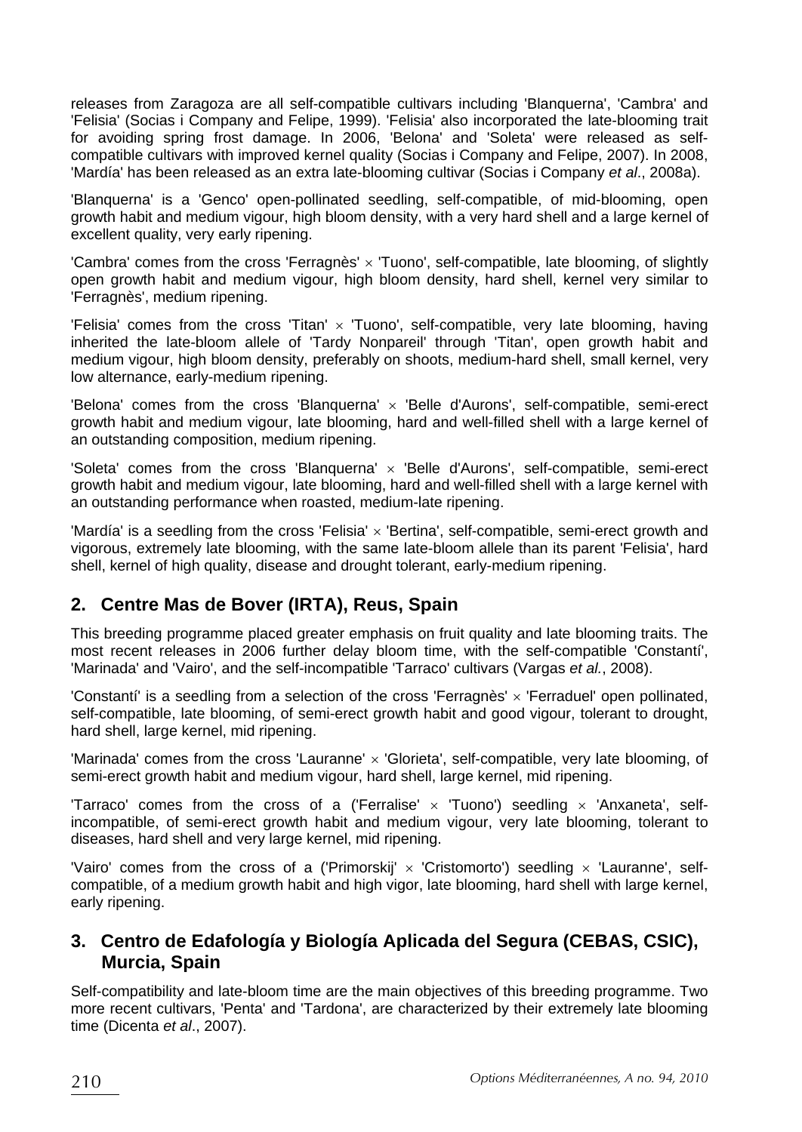releases from Zaragoza are all self-compatible cultivars including 'Blanquerna', 'Cambra' and 'Felisia' (Socias i Company and Felipe, 1999). 'Felisia' also incorporated the late-blooming trait for avoiding spring frost damage. In 2006, 'Belona' and 'Soleta' were released as selfcompatible cultivars with improved kernel quality (Socias i Company and Felipe, 2007). In 2008, 'Mardía' has been released as an extra late-blooming cultivar (Socias i Company *et al*., 2008a).

'Blanquerna' is a 'Genco' open-pollinated seedling, self-compatible, of mid-blooming, open growth habit and medium vigour, high bloom density, with a very hard shell and a large kernel of excellent quality, very early ripening.

'Cambra' comes from the cross 'Ferragnès' x 'Tuono', self-compatible, late blooming, of slightly open growth habit and medium vigour, high bloom density, hard shell, kernel very similar to 'Ferragnès', medium ripening.

'Felisia' comes from the cross 'Titan'  $\times$  'Tuono', self-compatible, very late blooming, having inherited the late-bloom allele of 'Tardy Nonpareil' through 'Titan', open growth habit and medium vigour, high bloom density, preferably on shoots, medium-hard shell, small kernel, very low alternance, early-medium ripening.

'Belona' comes from the cross 'Blanquerna' × 'Belle d'Aurons', self-compatible, semi-erect growth habit and medium vigour, late blooming, hard and well-filled shell with a large kernel of an outstanding composition, medium ripening.

'Soleta' comes from the cross 'Blanquerna'  $\times$  'Belle d'Aurons', self-compatible, semi-erect growth habit and medium vigour, late blooming, hard and well-filled shell with a large kernel with an outstanding performance when roasted, medium-late ripening.

'Mardía' is a seedling from the cross 'Felisia' × 'Bertina', self-compatible, semi-erect growth and vigorous, extremely late blooming, with the same late-bloom allele than its parent 'Felisia', hard shell, kernel of high quality, disease and drought tolerant, early-medium ripening.

## **2. Centre Mas de Bover (IRTA), Reus, Spain**

This breeding programme placed greater emphasis on fruit quality and late blooming traits. The most recent releases in 2006 further delay bloom time, with the self-compatible 'Constantí', 'Marinada' and 'Vairo', and the self-incompatible 'Tarraco' cultivars (Vargas *et al.*, 2008).

'Constantí' is a seedling from a selection of the cross 'Ferragnès' × 'Ferraduel' open pollinated, self-compatible, late blooming, of semi-erect growth habit and good vigour, tolerant to drought, hard shell, large kernel, mid ripening.

'Marinada' comes from the cross 'Lauranne' × 'Glorieta', self-compatible, very late blooming, of semi-erect growth habit and medium vigour, hard shell, large kernel, mid ripening.

'Tarraco' comes from the cross of a ('Ferralise'  $\times$  'Tuono') seedling  $\times$  'Anxaneta', selfincompatible, of semi-erect growth habit and medium vigour, very late blooming, tolerant to diseases, hard shell and very large kernel, mid ripening.

'Vairo' comes from the cross of a ('Primorskij'  $\times$  'Cristomorto') seedling  $\times$  'Lauranne', selfcompatible, of a medium growth habit and high vigor, late blooming, hard shell with large kernel, early ripening.

## **3. Centro de Edafología y Biología Aplicada del Segura (CEBAS, CSIC), Murcia, Spain**

Self-compatibility and late-bloom time are the main objectives of this breeding programme. Two more recent cultivars, 'Penta' and 'Tardona', are characterized by their extremely late blooming time (Dicenta *et al*., 2007).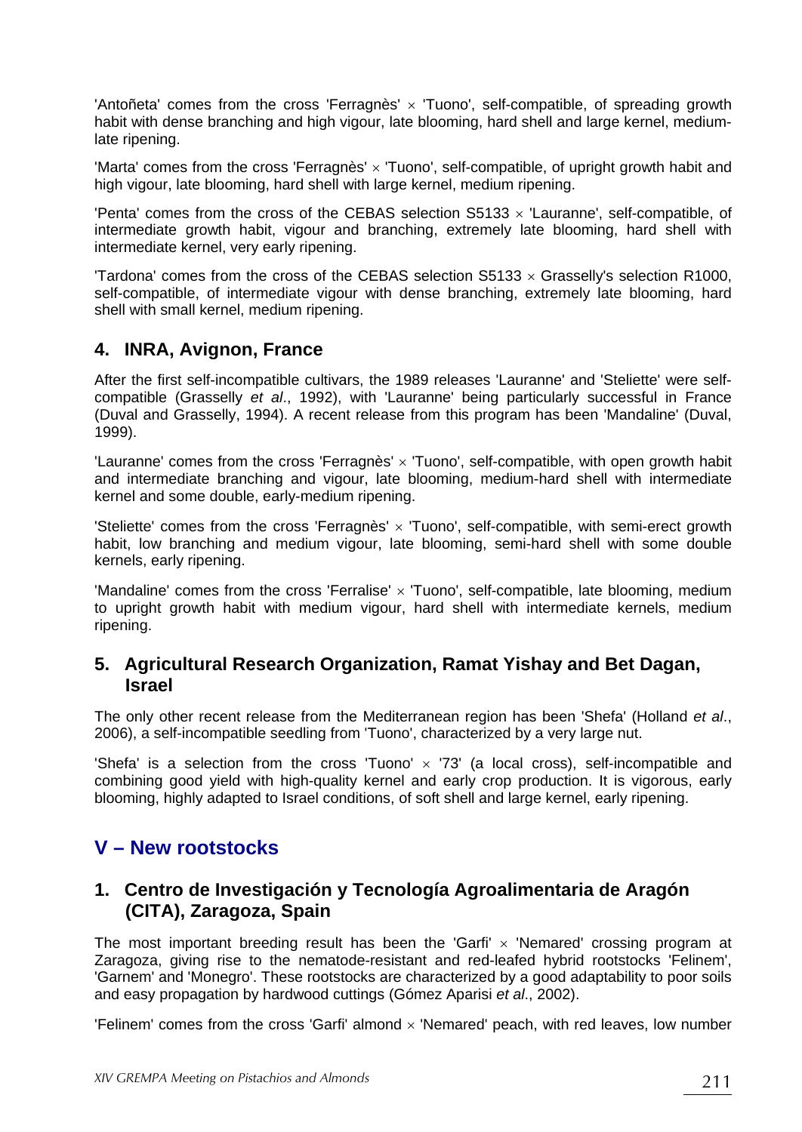'Antoñeta' comes from the cross 'Ferragnès' × 'Tuono', self-compatible, of spreading growth habit with dense branching and high vigour, late blooming, hard shell and large kernel, mediumlate ripening.

'Marta' comes from the cross 'Ferragnès' × 'Tuono', self-compatible, of upright growth habit and high vigour, late blooming, hard shell with large kernel, medium ripening.

'Penta' comes from the cross of the CEBAS selection  $S5133 \times 'Lauranne'$ , self-compatible, of intermediate growth habit, vigour and branching, extremely late blooming, hard shell with intermediate kernel, very early ripening.

'Tardona' comes from the cross of the CEBAS selection S5133  $\times$  Grasselly's selection R1000. self-compatible, of intermediate vigour with dense branching, extremely late blooming, hard shell with small kernel, medium ripening.

#### **4. INRA, Avignon, France**

After the first self-incompatible cultivars, the 1989 releases 'Lauranne' and 'Steliette' were selfcompatible (Grasselly *et al*., 1992), with 'Lauranne' being particularly successful in France (Duval and Grasselly, 1994). A recent release from this program has been 'Mandaline' (Duval, 1999).

'Lauranne' comes from the cross 'Ferragnès' × 'Tuono', self-compatible, with open growth habit and intermediate branching and vigour, late blooming, medium-hard shell with intermediate kernel and some double, early-medium ripening.

'Steliette' comes from the cross 'Ferragnès'  $\times$  'Tuono', self-compatible, with semi-erect growth habit, low branching and medium vigour, late blooming, semi-hard shell with some double kernels, early ripening.

'Mandaline' comes from the cross 'Ferralise' x 'Tuono', self-compatible, late blooming, medium to upright growth habit with medium vigour, hard shell with intermediate kernels, medium ripening.

#### **5. Agricultural Research Organization, Ramat Yishay and Bet Dagan, Israel**

The only other recent release from the Mediterranean region has been 'Shefa' (Holland *et al*., 2006), a self-incompatible seedling from 'Tuono', characterized by a very large nut.

'Shefa' is a selection from the cross 'Tuono'  $\times$  '73' (a local cross), self-incompatible and combining good yield with high-quality kernel and early crop production. It is vigorous, early blooming, highly adapted to Israel conditions, of soft shell and large kernel, early ripening.

# **V – New rootstocks**

## **1. Centro de Investigación y Tecnología Agroalimentaria de Aragón (CITA), Zaragoza, Spain**

The most important breeding result has been the 'Garfi'  $\times$  'Nemared' crossing program at Zaragoza, giving rise to the nematode-resistant and red-leafed hybrid rootstocks 'Felinem', 'Garnem' and 'Monegro'. These rootstocks are characterized by a good adaptability to poor soils and easy propagation by hardwood cuttings (Gómez Aparisi *et al*., 2002).

'Felinem' comes from the cross 'Garfi' almond  $\times$  'Nemared' peach, with red leaves, low number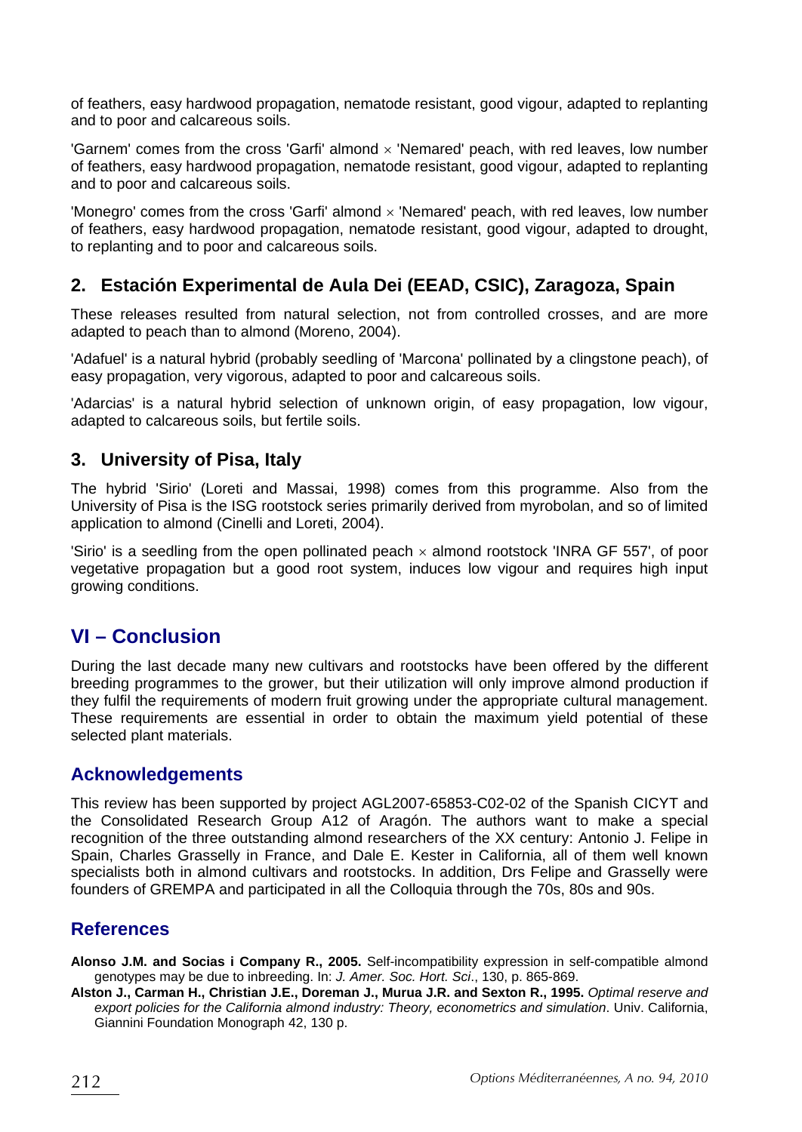of feathers, easy hardwood propagation, nematode resistant, good vigour, adapted to replanting and to poor and calcareous soils.

'Garnem' comes from the cross 'Garfi' almond  $\times$  'Nemared' peach, with red leaves, low number of feathers, easy hardwood propagation, nematode resistant, good vigour, adapted to replanting and to poor and calcareous soils.

'Monegro' comes from the cross 'Garfi' almond × 'Nemared' peach, with red leaves, low number of feathers, easy hardwood propagation, nematode resistant, good vigour, adapted to drought, to replanting and to poor and calcareous soils.

# **2. Estación Experimental de Aula Dei (EEAD, CSIC), Zaragoza, Spain**

These releases resulted from natural selection, not from controlled crosses, and are more adapted to peach than to almond (Moreno, 2004).

'Adafuel' is a natural hybrid (probably seedling of 'Marcona' pollinated by a clingstone peach), of easy propagation, very vigorous, adapted to poor and calcareous soils.

'Adarcias' is a natural hybrid selection of unknown origin, of easy propagation, low vigour, adapted to calcareous soils, but fertile soils.

#### **3. University of Pisa, Italy**

The hybrid 'Sirio' (Loreti and Massai, 1998) comes from this programme. Also from the University of Pisa is the ISG rootstock series primarily derived from myrobolan, and so of limited application to almond (Cinelli and Loreti, 2004).

'Sirio' is a seedling from the open pollinated peach  $\times$  almond rootstock 'INRA GF 557', of poor vegetative propagation but a good root system, induces low vigour and requires high input growing conditions.

# **VI – Conclusion**

During the last decade many new cultivars and rootstocks have been offered by the different breeding programmes to the grower, but their utilization will only improve almond production if they fulfil the requirements of modern fruit growing under the appropriate cultural management. These requirements are essential in order to obtain the maximum yield potential of these selected plant materials.

#### **Acknowledgements**

This review has been supported by project AGL2007-65853-C02-02 of the Spanish CICYT and the Consolidated Research Group A12 of Aragón. The authors want to make a special recognition of the three outstanding almond researchers of the XX century: Antonio J. Felipe in Spain, Charles Grasselly in France, and Dale E. Kester in California, all of them well known specialists both in almond cultivars and rootstocks. In addition, Drs Felipe and Grasselly were founders of GREMPA and participated in all the Colloquia through the 70s, 80s and 90s.

#### **References**

**Alonso J.M. and Socias i Company R., 2005.** Self-incompatibility expression in self-compatible almond genotypes may be due to inbreeding. In: *J. Amer. Soc. Hort. Sci*., 130, p. 865-869.

**Alston J., Carman H., Christian J.E., Doreman J., Murua J.R. and Sexton R., 1995.** *Optimal reserve and export policies for the California almond industry: Theory, econometrics and simulation*. Univ. California, Giannini Foundation Monograph 42, 130 p.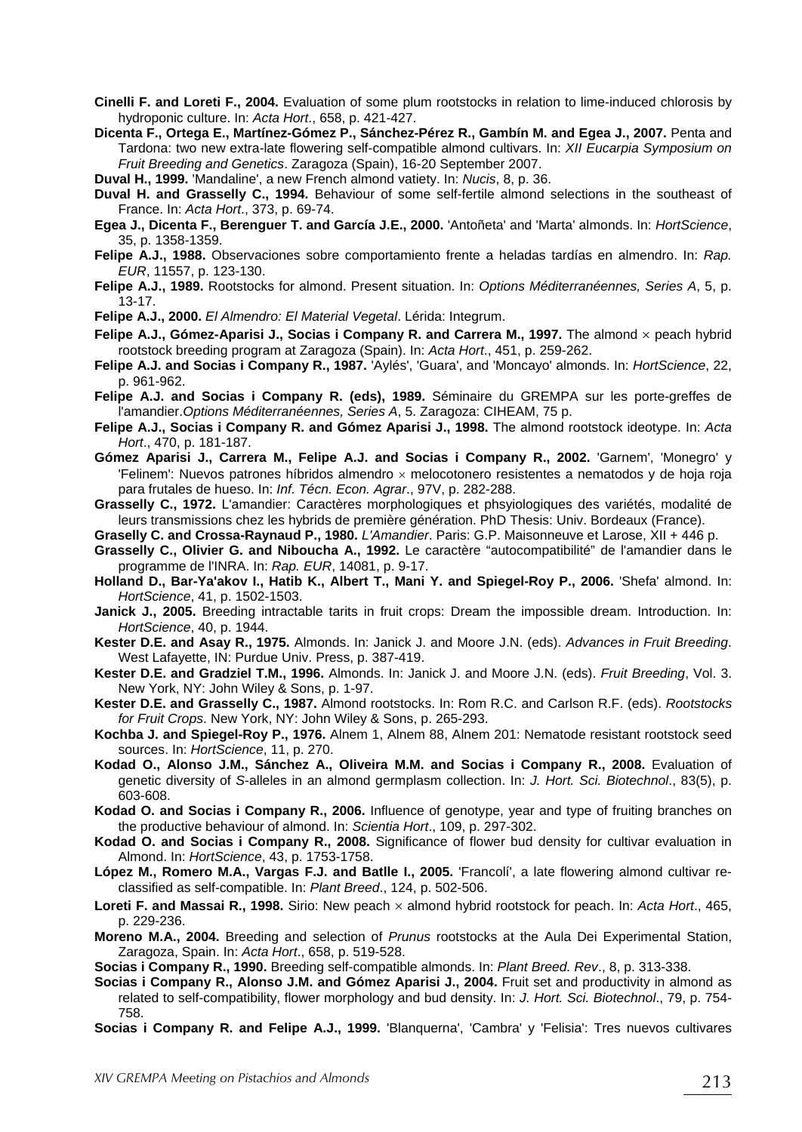- **Cinelli F. and Loreti F., 2004.** Evaluation of some plum rootstocks in relation to lime-induced chlorosis by hydroponic culture. In: *Acta Hort*., 658, p. 421-427.
- **Dicenta F., Ortega E., Martínez-Gómez P., Sánchez-Pérez R., Gambín M. and Egea J., 2007.** Penta and Tardona: two new extra-late flowering self-compatible almond cultivars. In: *XII Eucarpia Symposium on Fruit Breeding and Genetics*. Zaragoza (Spain), 16-20 September 2007.
- **Duval H., 1999.** 'Mandaline', a new French almond vatiety. In: *Nucis*, 8, p. 36.
- **Duval H. and Grasselly C., 1994.** Behaviour of some self-fertile almond selections in the southeast of France. In: *Acta Hort*., 373, p. 69-74.
- **Egea J., Dicenta F., Berenguer T. and García J.E., 2000.** 'Antoñeta' and 'Marta' almonds. In: *HortScience*, 35, p. 1358-1359.
- **Felipe A.J., 1988.** Observaciones sobre comportamiento frente a heladas tardías en almendro. In: *Rap. EUR*, 11557, p. 123-130.
- **Felipe A.J., 1989.** Rootstocks for almond. Present situation. In: *Options Méditerranéennes, Series A*, 5, p. 13-17.
- **Felipe A.J., 2000.** *El Almendro: El Material Vegetal*. Lérida: Integrum.
- **Felipe A.J., Gómez-Aparisi J., Socias i Company R. and Carrera M., 1997.** The almond x peach hybrid rootstock breeding program at Zaragoza (Spain). In: *Acta Hort*., 451, p. 259-262.
- **Felipe A.J. and Socias i Company R., 1987.** 'Aylés', 'Guara', and 'Moncayo' almonds. In: *HortScience*, 22, p. 961-962.
- **Felipe A.J. and Socias i Company R. (eds), 1989.** Séminaire du GREMPA sur les porte-greffes de l'amandier.*Options Méditerranéennes, Series A*, 5. Zaragoza: CIHEAM, 75 p.
- **Felipe A.J., Socias i Company R. and Gómez Aparisi J., 1998.** The almond rootstock ideotype. In: *Acta Hort*., 470, p. 181-187.
- **Gómez Aparisi J., Carrera M., Felipe A.J. and Socias i Company R., 2002.** 'Garnem', 'Monegro' y 'Felinem': Nuevos patrones híbridos almendro × melocotonero resistentes a nematodos y de hoja roja para frutales de hueso. In: *Inf. Técn. Econ. Agrar*., 97V, p. 282-288.
- **Grasselly C., 1972.** L'amandier: Caractères morphologiques et phsyiologiques des variétés, modalité de leurs transmissions chez les hybrids de première génération. PhD Thesis: Univ. Bordeaux (France).
- **Graselly C. and Crossa-Raynaud P., 1980.** *L'Amandier*. Paris: G.P. Maisonneuve et Larose, XII + 446 p.
- **Grasselly C., Olivier G. and Niboucha A., 1992.** Le caractère "autocompatibilité" de l'amandier dans le programme de l'INRA. In: *Rap. EUR*, 14081, p. 9-17.
- **Holland D., Bar-Ya'akov I., Hatib K., Albert T., Mani Y. and Spiegel-Roy P., 2006.** 'Shefa' almond. In: *HortScience*, 41, p. 1502-1503.
- **Janick J., 2005.** Breeding intractable tarits in fruit crops: Dream the impossible dream. Introduction. In: *HortScience*, 40, p. 1944.
- **Kester D.E. and Asay R., 1975.** Almonds. In: Janick J. and Moore J.N. (eds). *Advances in Fruit Breeding*. West Lafayette, IN: Purdue Univ. Press, p. 387-419.
- **Kester D.E. and Gradziel T.M., 1996.** Almonds. In: Janick J. and Moore J.N. (eds). *Fruit Breeding*, Vol. 3. New York, NY: John Wiley & Sons, p. 1-97.
- **Kester D.E. and Grasselly C., 1987.** Almond rootstocks. In: Rom R.C. and Carlson R.F. (eds). *Rootstocks for Fruit Crops*. New York, NY: John Wiley & Sons, p. 265-293.
- **Kochba J. and Spiegel-Roy P., 1976.** Alnem 1, Alnem 88, Alnem 201: Nematode resistant rootstock seed sources. In: *HortScience*, 11, p. 270.
- **Kodad O., Alonso J.M., Sánchez A., Oliveira M.M. and Socias i Company R., 2008.** Evaluation of genetic diversity of *S*-alleles in an almond germplasm collection. In: *J. Hort. Sci. Biotechnol*., 83(5), p. 603-608.
- **Kodad O. and Socias i Company R., 2006.** Influence of genotype, year and type of fruiting branches on the productive behaviour of almond. In: *Scientia Hort*., 109, p. 297-302.
- **Kodad O. and Socias i Company R., 2008.** Significance of flower bud density for cultivar evaluation in Almond. In: *HortScience*, 43, p. 1753-1758.
- **López M., Romero M.A., Vargas F.J. and Batlle I., 2005.** 'Francolí', a late flowering almond cultivar reclassified as self-compatible. In: *Plant Breed*., 124, p. 502-506.

**Loreti F. and Massai R., 1998.** Sirio: New peach × almond hybrid rootstock for peach. In: *Acta Hort*., 465, p. 229-236.

- **Moreno M.A., 2004.** Breeding and selection of *Prunus* rootstocks at the Aula Dei Experimental Station, Zaragoza, Spain. In: *Acta Hort*., 658, p. 519-528.
- **Socias i Company R., 1990.** Breeding self-compatible almonds. In: *Plant Breed. Rev*., 8, p. 313-338.
- **Socias i Company R., Alonso J.M. and Gómez Aparisi J., 2004.** Fruit set and productivity in almond as related to self-compatibility, flower morphology and bud density. In: *J. Hort. Sci. Biotechnol*., 79, p. 754- 758.
- **Socias i Company R. and Felipe A.J., 1999.** 'Blanquerna', 'Cambra' y 'Felisia': Tres nuevos cultivares